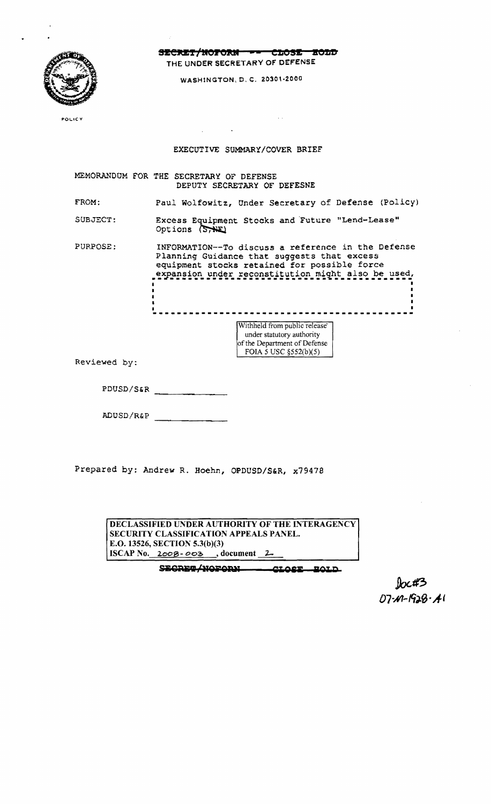

SECRET/NOFORN - CLOSE EOLD THE UNDER SECRETARY OF DEFENSE

WASHINGTON, D. C. 20301-2000

 $\sim$ 

POLICY

## EXECUTIVE SUMMARY/COVER BRIEF

MEMORANDUM FOR THE SECRETARY OF DEFENSE DEPUTY SECRETARY OF DEFESNE

FROM: Paul Wolfowitz, Under Secretary of Defense (Policy)

SUBJECT: Excess Equipment Stocks and Future "Lend-Lease" Options (STHE)

PURPOSE: INFORMATION--To discuss a reference in the Defense Planning Guidance that suggests that excess equipment stocks retained for possible force expansion under reconstitution might also be used.

> -------------------------------Withheld from public release under statutory authority

of the Department of Defense FOIA 5 USC  $\S 52(b)(5)$ 

Reviewed by:

PDUSD/S&R

ADUSD/R&P

Prepared by: Andrew R. Hoehn, OPDUSD/S&R, x79478

|                                               |                                      |  | DECLASSIFIED UNDER AUTHORITY OF THE INTERAGENCY |  |
|-----------------------------------------------|--------------------------------------|--|-------------------------------------------------|--|
| <b>SECURITY CLASSIFICATION APPEALS PANEL.</b> |                                      |  |                                                 |  |
| E.O. 13526, SECTION 5.3(b)(3)                 |                                      |  |                                                 |  |
|                                               | ISCAP No. $2008 - 003$ , document 2. |  |                                                 |  |
|                                               |                                      |  |                                                 |  |

SECRET/NOFORN CLOSE BOLD

 $07 - 49 - 528 - 41$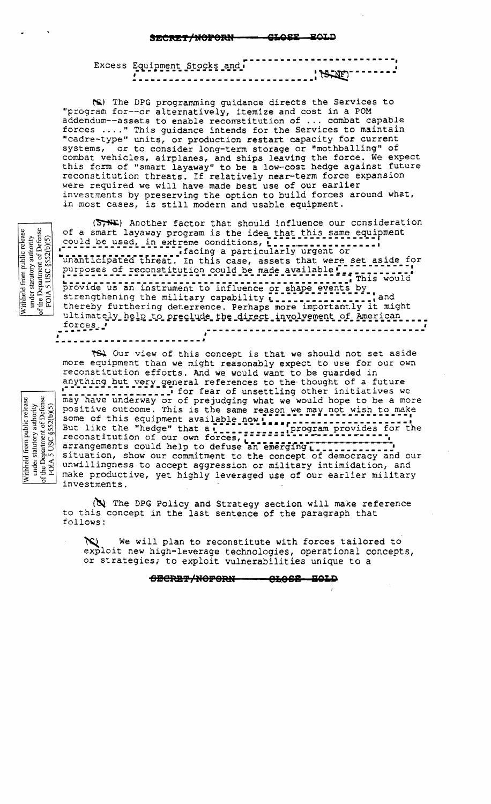متمع <u>CLOSE</u> <del>iecret/noforn</del>

| ----------------------------                                       |
|--------------------------------------------------------------------|
| Excess Equipment Stocks and .                                      |
| $1.227 \times 10^{-10} \text{ m} = 2.28 \times 10^{-10} \text{ m}$ |
|                                                                    |
| ------------------------------                                     |

(S) The DPG programming guidance directs the Services to "program for--or alternatively, itemize and cost in a POM addendum--assets to enable reconstitution of ... combat capable forces ...." This quidance intends for the Services to maintain "cadre-type" units, or production restart capacity for current systems, or to consider long-term storage or "mothballing" of combat vehicles, airplanes, and ships leaving the force. We expect this form of "smart layaway" to be a low-cost hedge against future reconstitution threats. If relatively near-term force expansion were required we will have made best use of our earlier investments by preserving the option to build forces around what, in most cases, is still modern and usable equipment.

under statutory authority<br>of the Department of Defense<br>POIA 5 USC  $\S$ 552(b)(5) Withheld from public release

under statutory authority<br>of the Department of Defense<br>FOIA 5 USC  $\S{552(b)(5)}$ 

Withheld from public release

 $(S<sub>7</sub>)$ . Another factor that should influence our consideration of a smart layaway program is the idea that this same equipment<br>could be used, in extreme conditions, 1..................... The Minimized Contract of the Contract of County of the Minimized Contract of The Minimized Contract of The Minimized Contract of The Minimized Contract of The Minimized Contract of The Minimized Contract of The Minimized strengthening the military capability [ [ ] [ ] [ ] [ ] [ ] ] ] and<br>thereby furthering deterrence. Perhaps more importantly it might ultimately help to preclude the direct involvement of American .... forces<sub>.</sub>' --------------------------

TS. Our view of this concept is that we should not set aside more equipment than we might reasonably expect to use for our own reconstitution efforts. And we would want to be quarded in anything but very general references to the thought of a future<br>response to the thought of a future<br>may have underway or of prejudging what we would hope to be a more positive outcome. This is the same reason we may not wish to make some of this equipment available now. situation, show our commitment to the concept of democracy and our unwillingness to accept aggression or military intimidation, and make productive, yet highly leveraged use of our earlier military investments.

(N) The DPG Policy and Strategy section will make reference to this concept in the last sentence of the paragraph that follows:

We will plan to reconstitute with forces tailored to exploit new high-leverage technologies, operational concepts, or strategies; to exploit vulnerabilities unique to a

> - CLOSE HOLD <del>obcret/noforn</del>